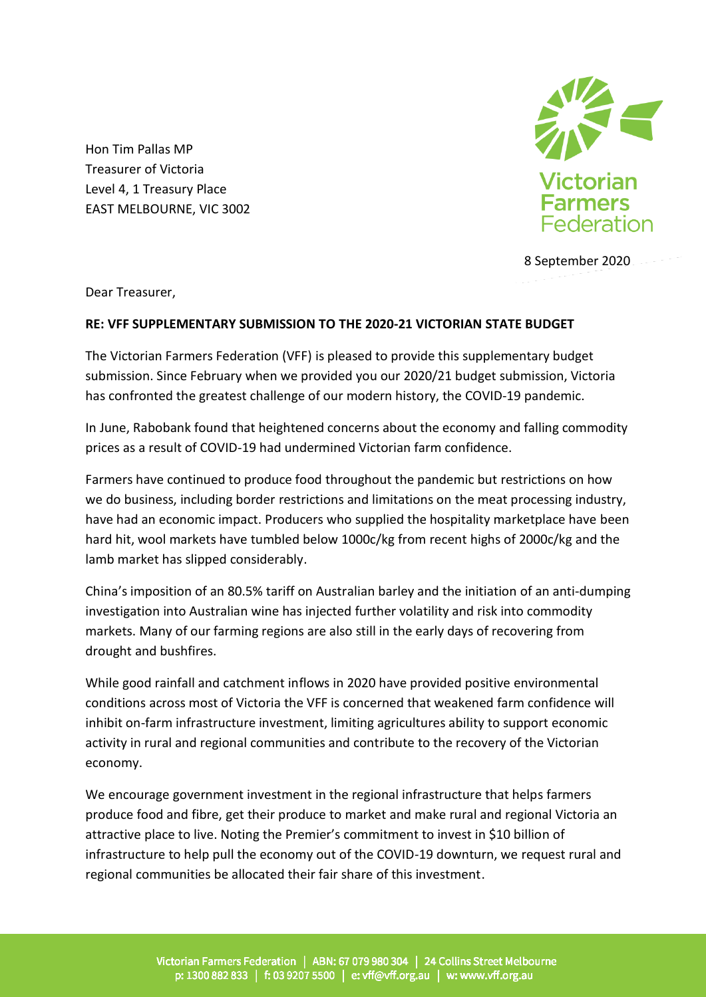Hon Tim Pallas MP Treasurer of Victoria Level 4, 1 Treasury Place EAST MELBOURNE, VIC 3002



8 September 2020

Dear Treasurer,

## **RE: VFF SUPPLEMENTARY SUBMISSION TO THE 2020-21 VICTORIAN STATE BUDGET**

The Victorian Farmers Federation (VFF) is pleased to provide this supplementary budget submission. Since February when we provided you our 2020/21 budget submission, Victoria has confronted the greatest challenge of our modern history, the COVID-19 pandemic.

In June, Rabobank found that heightened concerns about the economy and falling commodity prices as a result of COVID-19 had undermined Victorian farm confidence.

Farmers have continued to produce food throughout the pandemic but restrictions on how we do business, including border restrictions and limitations on the meat processing industry, have had an economic impact. Producers who supplied the hospitality marketplace have been hard hit, wool markets have tumbled below 1000c/kg from recent highs of 2000c/kg and the lamb market has slipped considerably.

China's imposition of an 80.5% tariff on Australian barley and the initiation of an anti-dumping investigation into Australian wine has injected further volatility and risk into commodity markets. Many of our farming regions are also still in the early days of recovering from drought and bushfires.

While good rainfall and catchment inflows in 2020 have provided positive environmental conditions across most of Victoria the VFF is concerned that weakened farm confidence will inhibit on-farm infrastructure investment, limiting agricultures ability to support economic activity in rural and regional communities and contribute to the recovery of the Victorian economy.

We encourage government investment in the regional infrastructure that helps farmers produce food and fibre, get their produce to market and make rural and regional Victoria an attractive place to live. Noting the Premier's commitment to invest in \$10 billion of infrastructure to help pull the economy out of the COVID-19 downturn, we request rural and regional communities be allocated their fair share of this investment.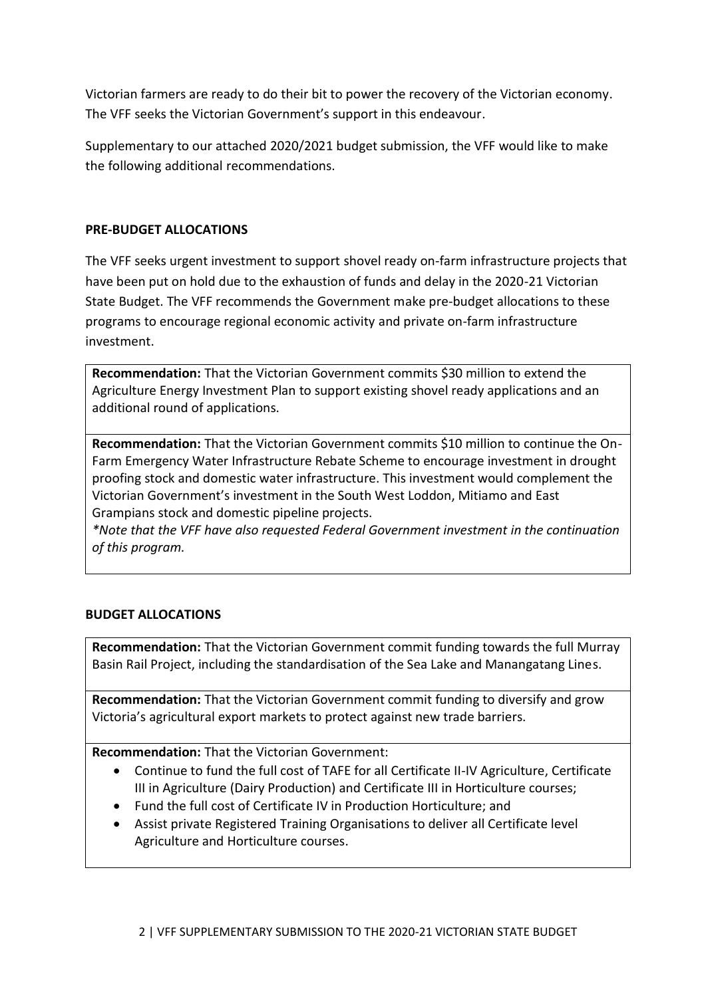Victorian farmers are ready to do their bit to power the recovery of the Victorian economy. The VFF seeks the Victorian Government's support in this endeavour.

Supplementary to our attached 2020/2021 budget submission, the VFF would like to make the following additional recommendations.

## **PRE-BUDGET ALLOCATIONS**

The VFF seeks urgent investment to support shovel ready on-farm infrastructure projects that have been put on hold due to the exhaustion of funds and delay in the 2020-21 Victorian State Budget. The VFF recommends the Government make pre-budget allocations to these programs to encourage regional economic activity and private on-farm infrastructure investment.

**Recommendation:** That the Victorian Government commits \$30 million to extend the Agriculture Energy Investment Plan to support existing shovel ready applications and an additional round of applications.

**Recommendation:** That the Victorian Government commits \$10 million to continue the On-Farm Emergency Water Infrastructure Rebate Scheme to encourage investment in drought proofing stock and domestic water infrastructure. This investment would complement the Victorian Government's investment in the South West Loddon, Mitiamo and East Grampians stock and domestic pipeline projects.

*\*Note that the VFF have also requested Federal Government investment in the continuation of this program.*

## **BUDGET ALLOCATIONS**

**Recommendation:** That the Victorian Government commit funding towards the full Murray Basin Rail Project, including the standardisation of the Sea Lake and Manangatang Lines.

**Recommendation:** That the Victorian Government commit funding to diversify and grow Victoria's agricultural export markets to protect against new trade barriers.

**Recommendation:** That the Victorian Government:

- Continue to fund the full cost of TAFE for all Certificate II-IV Agriculture, Certificate III in Agriculture (Dairy Production) and Certificate III in Horticulture courses;
- Fund the full cost of Certificate IV in Production Horticulture; and
- Assist private Registered Training Organisations to deliver all Certificate level Agriculture and Horticulture courses.